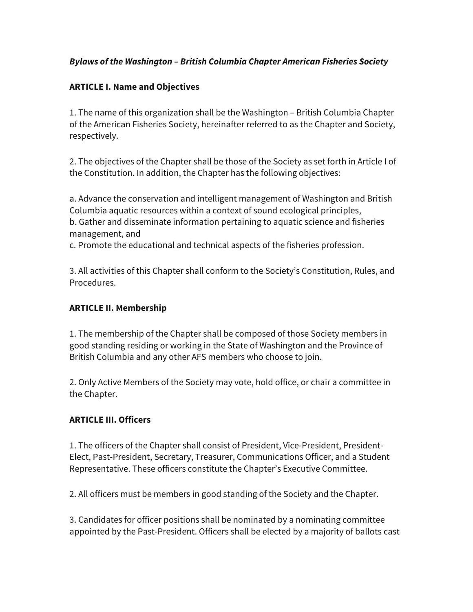## *Bylaws of the Washington – British Columbia Chapter American Fisheries Society*

## **ARTICLE I. Name and Objectives**

1. The name of this organization shall be the Washington – British Columbia Chapter of the American Fisheries Society, hereinafter referred to as the Chapter and Society, respectively.

2. The objectives of the Chapter shall be those of the Society as set forth in Article I of the Constitution. In addition, the Chapter has the following objectives:

a. Advance the conservation and intelligent management of Washington and British Columbia aquatic resources within a context of sound ecological principles, b. Gather and disseminate information pertaining to aquatic science and fisheries management, and

c. Promote the educational and technical aspects of the fisheries profession.

3. All activities of this Chapter shall conform to the Society's Constitution, Rules, and Procedures.

### **ARTICLE II. Membership**

1. The membership of the Chapter shall be composed of those Society members in good standing residing or working in the State of Washington and the Province of British Columbia and any other AFS members who choose to join.

2. Only Active Members of the Society may vote, hold office, or chair a committee in the Chapter.

### **ARTICLE III. Officers**

1. The officers of the Chapter shall consist of President, Vice-President, President-Elect, Past-President, Secretary, Treasurer, Communications Officer, and a Student Representative. These officers constitute the Chapter's Executive Committee.

2. All officers must be members in good standing of the Society and the Chapter.

3. Candidates for officer positions shall be nominated by a nominating committee appointed by the Past-President. Officers shall be elected by a majority of ballots cast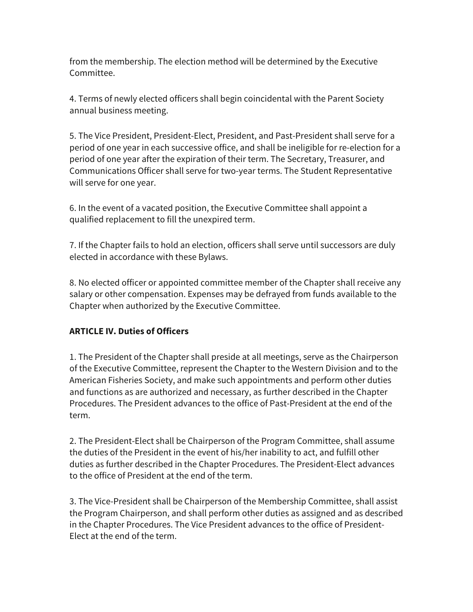from the membership. The election method will be determined by the Executive Committee.

4. Terms of newly elected officers shall begin coincidental with the Parent Society annual business meeting.

5. The Vice President, President-Elect, President, and Past-President shall serve for a period of one year in each successive office, and shall be ineligible for re-election for a period of one year after the expiration of their term. The Secretary, Treasurer, and Communications Officer shall serve for two-year terms. The Student Representative will serve for one year.

6. In the event of a vacated position, the Executive Committee shall appoint a qualified replacement to fill the unexpired term.

7. If the Chapter fails to hold an election, officers shall serve until successors are duly elected in accordance with these Bylaws.

8. No elected officer or appointed committee member of the Chapter shall receive any salary or other compensation. Expenses may be defrayed from funds available to the Chapter when authorized by the Executive Committee.

# **ARTICLE IV. Duties of Officers**

1. The President of the Chapter shall preside at all meetings, serve as the Chairperson of the Executive Committee, represent the Chapter to the Western Division and to the American Fisheries Society, and make such appointments and perform other duties and functions as are authorized and necessary, as further described in the Chapter Procedures. The President advances to the office of Past-President at the end of the term.

2. The President-Elect shall be Chairperson of the Program Committee, shall assume the duties of the President in the event of his/her inability to act, and fulfill other duties as further described in the Chapter Procedures. The President-Elect advances to the office of President at the end of the term.

3. The Vice-President shall be Chairperson of the Membership Committee, shall assist the Program Chairperson, and shall perform other duties as assigned and as described in the Chapter Procedures. The Vice President advances to the office of President-Elect at the end of the term.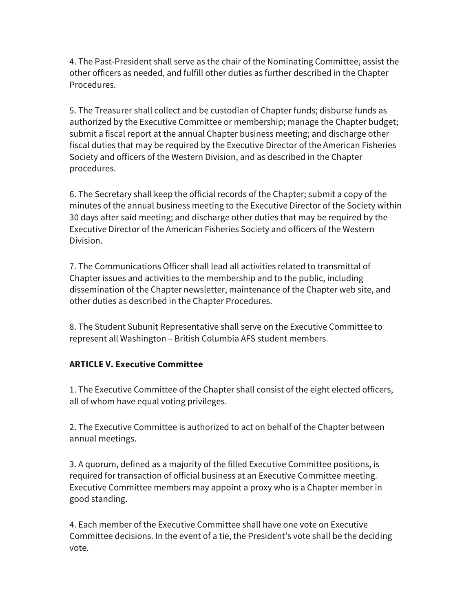4. The Past-President shall serve as the chair of the Nominating Committee, assist the other officers as needed, and fulfill other duties as further described in the Chapter Procedures.

5. The Treasurer shall collect and be custodian of Chapter funds; disburse funds as authorized by the Executive Committee or membership; manage the Chapter budget; submit a fiscal report at the annual Chapter business meeting; and discharge other fiscal duties that may be required by the Executive Director of the American Fisheries Society and officers of the Western Division, and as described in the Chapter procedures.

6. The Secretary shall keep the official records of the Chapter; submit a copy of the minutes of the annual business meeting to the Executive Director of the Society within 30 days after said meeting; and discharge other duties that may be required by the Executive Director of the American Fisheries Society and officers of the Western Division.

7. The Communications Officer shall lead all activities related to transmittal of Chapter issues and activities to the membership and to the public, including dissemination of the Chapter newsletter, maintenance of the Chapter web site, and other duties as described in the Chapter Procedures.

8. The Student Subunit Representative shall serve on the Executive Committee to represent all Washington – British Columbia AFS student members.

# **ARTICLE V. Executive Committee**

1. The Executive Committee of the Chapter shall consist of the eight elected officers, all of whom have equal voting privileges.

2. The Executive Committee is authorized to act on behalf of the Chapter between annual meetings.

3. A quorum, defined as a majority of the filled Executive Committee positions, is required for transaction of official business at an Executive Committee meeting. Executive Committee members may appoint a proxy who is a Chapter member in good standing.

4. Each member of the Executive Committee shall have one vote on Executive Committee decisions. In the event of a tie, the President's vote shall be the deciding vote.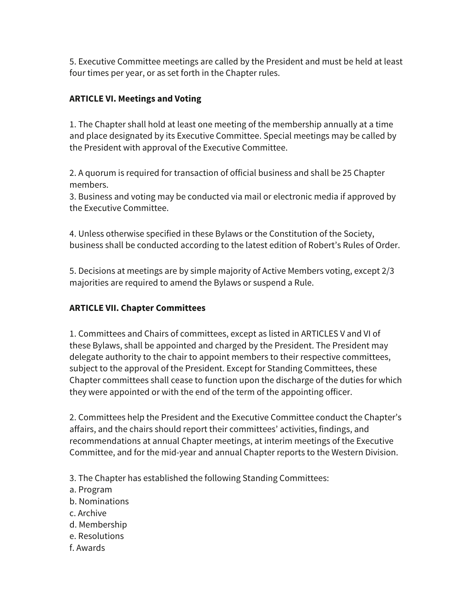5. Executive Committee meetings are called by the President and must be held at least four times per year, or as set forth in the Chapter rules.

# **ARTICLE VI. Meetings and Voting**

1. The Chapter shall hold at least one meeting of the membership annually at a time and place designated by its Executive Committee. Special meetings may be called by the President with approval of the Executive Committee.

2. A quorum is required for transaction of official business and shall be 25 Chapter members.

3. Business and voting may be conducted via mail or electronic media if approved by the Executive Committee.

4. Unless otherwise specified in these Bylaws or the Constitution of the Society, business shall be conducted according to the latest edition of Robert's Rules of Order.

5. Decisions at meetings are by simple majority of Active Members voting, except 2/3 majorities are required to amend the Bylaws or suspend a Rule.

# **ARTICLE VII. Chapter Committees**

1. Committees and Chairs of committees, except as listed in ARTICLES V and VI of these Bylaws, shall be appointed and charged by the President. The President may delegate authority to the chair to appoint members to their respective committees, subject to the approval of the President. Except for Standing Committees, these Chapter committees shall cease to function upon the discharge of the duties for which they were appointed or with the end of the term of the appointing officer.

2. Committees help the President and the Executive Committee conduct the Chapter's affairs, and the chairs should report their committees' activities, findings, and recommendations at annual Chapter meetings, at interim meetings of the Executive Committee, and for the mid-year and annual Chapter reports to the Western Division.

3. The Chapter has established the following Standing Committees:

- a. Program
- b. Nominations
- c. Archive
- d. Membership
- e. Resolutions
- f. Awards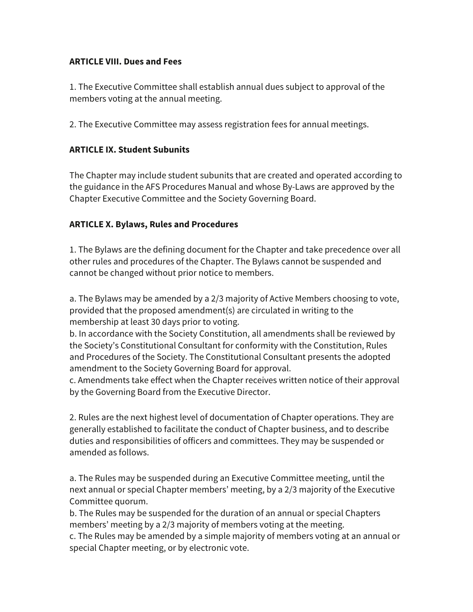### **ARTICLE VIII. Dues and Fees**

1. The Executive Committee shall establish annual dues subject to approval of the members voting at the annual meeting.

2. The Executive Committee may assess registration fees for annual meetings.

## **ARTICLE IX. Student Subunits**

The Chapter may include student subunits that are created and operated according to the guidance in the AFS Procedures Manual and whose By-Laws are approved by the Chapter Executive Committee and the Society Governing Board.

## **ARTICLE X. Bylaws, Rules and Procedures**

1. The Bylaws are the defining document for the Chapter and take precedence over all other rules and procedures of the Chapter. The Bylaws cannot be suspended and cannot be changed without prior notice to members.

a. The Bylaws may be amended by a 2/3 majority of Active Members choosing to vote, provided that the proposed amendment(s) are circulated in writing to the membership at least 30 days prior to voting.

b. In accordance with the Society Constitution, all amendments shall be reviewed by the Society's Constitutional Consultant for conformity with the Constitution, Rules and Procedures of the Society. The Constitutional Consultant presents the adopted amendment to the Society Governing Board for approval.

c. Amendments take effect when the Chapter receives written notice of their approval by the Governing Board from the Executive Director.

2. Rules are the next highest level of documentation of Chapter operations. They are generally established to facilitate the conduct of Chapter business, and to describe duties and responsibilities of officers and committees. They may be suspended or amended as follows.

a. The Rules may be suspended during an Executive Committee meeting, until the next annual or special Chapter members' meeting, by a 2/3 majority of the Executive Committee quorum.

b. The Rules may be suspended for the duration of an annual or special Chapters members' meeting by a 2/3 majority of members voting at the meeting.

c. The Rules may be amended by a simple majority of members voting at an annual or special Chapter meeting, or by electronic vote.